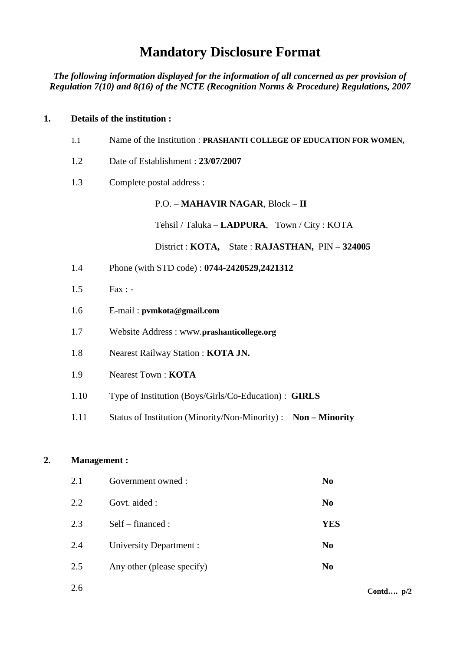# **Mandatory Disclosure Format**

*The following information displayed for the information of all concerned as per provision of Regulation 7(10) and 8(16) of the NCTE (Recognition Norms & Procedure) Regulations, 2007* 

#### **1. Details of the institution :**

| 1.1  | Name of the Institution: PRASHANTI COLLEGE OF EDUCATION FOR WOMEN, |
|------|--------------------------------------------------------------------|
| 1.2  | Date of Establishment: 23/07/2007                                  |
| 1.3  | Complete postal address :                                          |
|      | P.O. - MAHAVIR NAGAR, Block - II                                   |
|      | Tehsil / Taluka – <b>LADPURA</b> , Town / City : KOTA              |
|      | District : KOTA, State : RAJASTHAN, PIN - 324005                   |
| 1.4  | Phone (with STD code): 0744-2420529,2421312                        |
| 1.5  | $Fax: -$                                                           |
| 1.6  | E-mail: pvmkota@gmail.com                                          |
| 1.7  | Website Address: www.prashanticollege.org                          |
| 1.8  | Nearest Railway Station: KOTA JN.                                  |
| 1.9  | <b>Nearest Town: KOTA</b>                                          |
| 1.10 | Type of Institution (Boys/Girls/Co-Education) : <b>GIRLS</b>       |
| 1.11 | Status of Institution (Minority/Non-Minority): Non - Minority      |

## **2. Management :**

| 2.1 | Government owned:          | N <sub>0</sub> |
|-----|----------------------------|----------------|
| 2.2 | Govt. aided :              | N <sub>0</sub> |
| 2.3 | $Self$ – financed :        | <b>YES</b>     |
| 2.4 | University Department :    | N <sub>0</sub> |
| 2.5 | Any other (please specify) | N <sub>0</sub> |
|     |                            |                |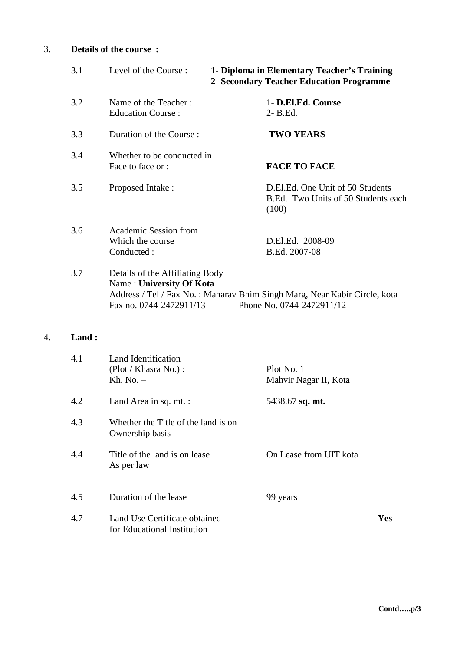## 3. **Details of the course :**

| 3.1 | Level of the Course:                                                                   | 1- Diploma in Elementary Teacher's Training<br>2- Secondary Teacher Education Programme                |
|-----|----------------------------------------------------------------------------------------|--------------------------------------------------------------------------------------------------------|
| 3.2 | Name of the Teacher:<br><b>Education Course:</b>                                       | 1- D.El.Ed. Course<br>2- B.Ed.                                                                         |
| 3.3 | Duration of the Course:                                                                | <b>TWO YEARS</b>                                                                                       |
| 3.4 | Whether to be conducted in<br>Face to face or :                                        | <b>FACE TO FACE</b>                                                                                    |
| 3.5 | Proposed Intake:                                                                       | D.El.Ed. One Unit of 50 Students<br>B.Ed. Two Units of 50 Students each<br>(100)                       |
| 3.6 | Academic Session from<br>Which the course.<br>Conducted:                               | D.El.Ed. 2008-09<br>B.Ed. 2007-08                                                                      |
| 3.7 | Details of the Affiliating Body<br>Name: University Of Kota<br>Fax no. 0744-2472911/13 | Address / Tel / Fax No.: Maharav Bhim Singh Marg, Near Kabir Circle, kota<br>Phone No. 0744-2472911/12 |

# 4. **Land :**

| 4.1 | Land Identification<br>(Plot / Khasra No.) :<br>Kh. No. $-$  | Plot No. 1<br>Mahvir Nagar II, Kota |     |
|-----|--------------------------------------------------------------|-------------------------------------|-----|
| 4.2 | Land Area in sq. mt. :                                       | 5438.67 sq. mt.                     |     |
| 4.3 | Whether the Title of the land is on<br>Ownership basis       |                                     |     |
| 4.4 | Title of the land is on lease<br>As per law                  | On Lease from UIT kota              |     |
| 4.5 | Duration of the lease                                        | 99 years                            |     |
| 4.7 | Land Use Certificate obtained<br>for Educational Institution |                                     | Yes |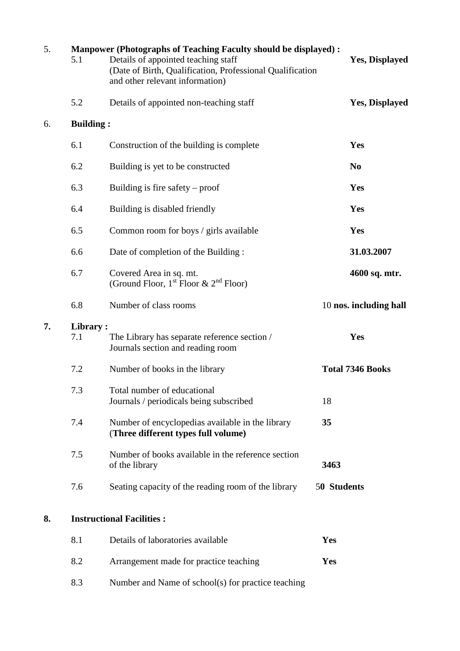| 5. | 5.1              | <b>Manpower (Photographs of Teaching Faculty should be displayed):</b><br>Details of appointed teaching staff<br>(Date of Birth, Qualification, Professional Qualification<br>and other relevant information) |             | <b>Yes, Displayed</b>   |
|----|------------------|---------------------------------------------------------------------------------------------------------------------------------------------------------------------------------------------------------------|-------------|-------------------------|
|    | 5.2              | Details of appointed non-teaching staff                                                                                                                                                                       |             | <b>Yes, Displayed</b>   |
| 6. | <b>Building:</b> |                                                                                                                                                                                                               |             |                         |
|    | 6.1              | Construction of the building is complete                                                                                                                                                                      |             | Yes                     |
|    | 6.2              | Building is yet to be constructed                                                                                                                                                                             |             | N <sub>0</sub>          |
|    | 6.3              | Building is fire safety $-$ proof                                                                                                                                                                             |             | Yes                     |
|    | 6.4              | Building is disabled friendly                                                                                                                                                                                 |             | Yes                     |
|    | 6.5              | Common room for boys / girls available                                                                                                                                                                        |             | Yes                     |
|    | 6.6              | Date of completion of the Building:                                                                                                                                                                           |             | 31.03.2007              |
|    | 6.7              | Covered Area in sq. mt.<br>(Ground Floor, 1 <sup>st</sup> Floor & 2 <sup>nd</sup> Floor)                                                                                                                      |             | 4600 sq. mtr.           |
|    | 6.8              | Number of class rooms                                                                                                                                                                                         |             | 10 nos. including hall  |
| 7. | Library:<br>7.1  | The Library has separate reference section /<br>Journals section and reading room                                                                                                                             |             | Yes                     |
|    | 7.2              | Number of books in the library                                                                                                                                                                                |             | <b>Total 7346 Books</b> |
|    | 7.3              | Total number of educational<br>Journals / periodicals being subscribed                                                                                                                                        | 18          |                         |
|    | 7.4              | Number of encyclopedias available in the library<br>(Three different types full volume)                                                                                                                       | 35          |                         |
|    | 7.5              | Number of books available in the reference section<br>of the library                                                                                                                                          | 3463        |                         |
|    | 7.6              | Seating capacity of the reading room of the library                                                                                                                                                           | 50 Students |                         |
| 8. |                  | <b>Instructional Facilities:</b>                                                                                                                                                                              |             |                         |
|    | 8.1              | Details of laboratories available                                                                                                                                                                             | Yes         |                         |
|    | 8.2              | Arrangement made for practice teaching                                                                                                                                                                        | Yes         |                         |
|    | 8.3              | Number and Name of school(s) for practice teaching                                                                                                                                                            |             |                         |